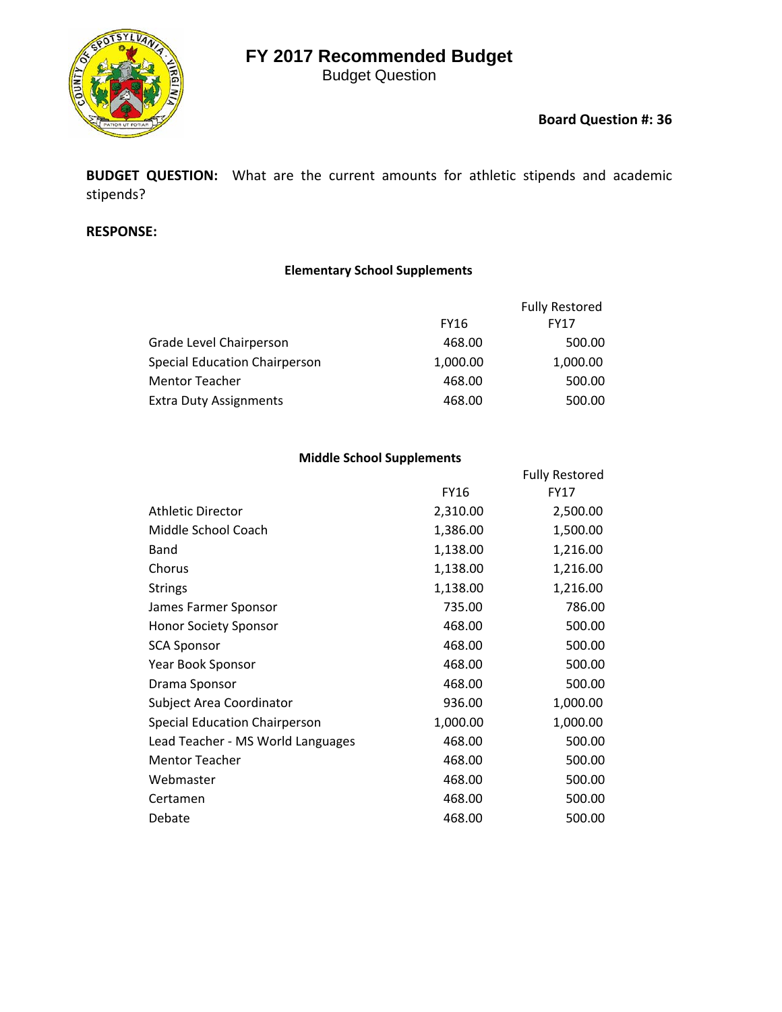# **FY 2017 Recommended Budget**

Budget Question



### **Board Question #: 36**

**BUDGET QUESTION:** What are the current amounts for athletic stipends and academic stipends?

#### **RESPONSE:**

### **Elementary School Supplements**

|                                      |             | <b>Fully Restored</b> |
|--------------------------------------|-------------|-----------------------|
|                                      | <b>FY16</b> | <b>FY17</b>           |
| Grade Level Chairperson              | 468.00      | 500.00                |
| <b>Special Education Chairperson</b> | 1,000.00    | 1,000.00              |
| <b>Mentor Teacher</b>                | 468.00      | 500.00                |
| <b>Extra Duty Assignments</b>        | 468.00      | 500.00                |

#### **Middle School Supplements**

|                                      |          | <b>Fully Restored</b> |
|--------------------------------------|----------|-----------------------|
|                                      | FY16     | <b>FY17</b>           |
| <b>Athletic Director</b>             | 2,310.00 | 2,500.00              |
| Middle School Coach                  | 1,386.00 | 1,500.00              |
| Band                                 | 1,138.00 | 1,216.00              |
| Chorus                               | 1,138.00 | 1,216.00              |
| <b>Strings</b>                       | 1,138.00 | 1,216.00              |
| James Farmer Sponsor                 | 735.00   | 786.00                |
| <b>Honor Society Sponsor</b>         | 468.00   | 500.00                |
| <b>SCA Sponsor</b>                   | 468.00   | 500.00                |
| Year Book Sponsor                    | 468.00   | 500.00                |
| Drama Sponsor                        | 468.00   | 500.00                |
| Subject Area Coordinator             | 936.00   | 1,000.00              |
| <b>Special Education Chairperson</b> | 1,000.00 | 1,000.00              |
| Lead Teacher - MS World Languages    | 468.00   | 500.00                |
| <b>Mentor Teacher</b>                | 468.00   | 500.00                |
| Webmaster                            | 468.00   | 500.00                |
| Certamen                             | 468.00   | 500.00                |
| Debate                               | 468.00   | 500.00                |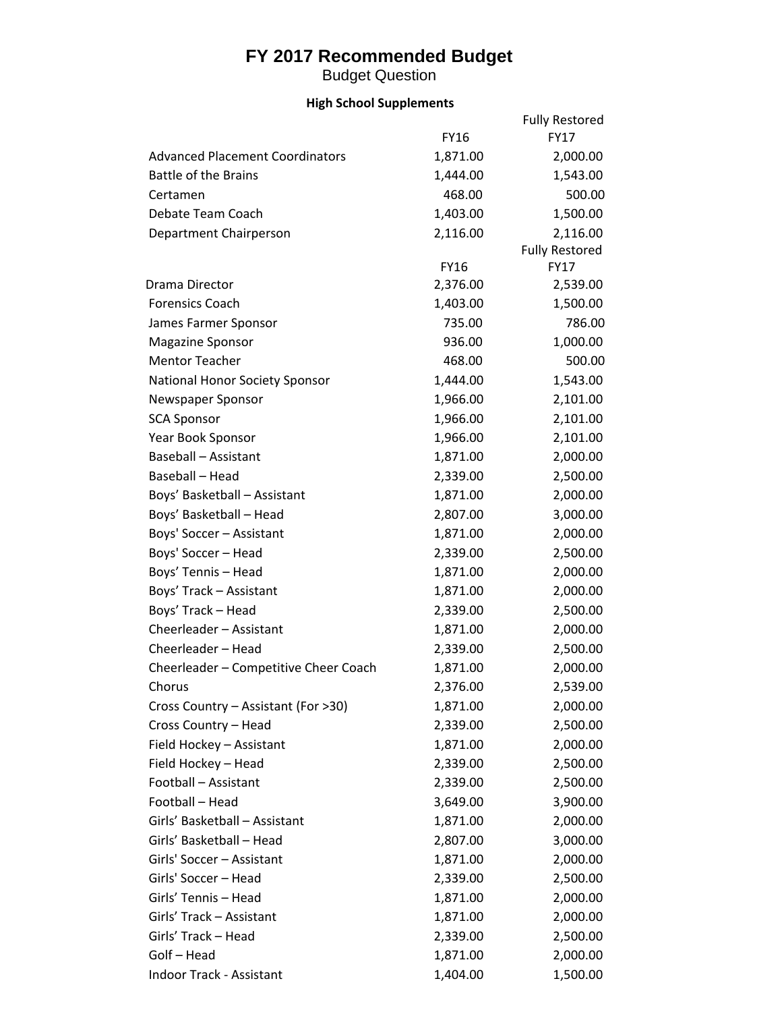## **FY 2017 Recommended Budget**

Budget Question

## **High School Supplements**

|                                        |             | <b>Fully Restored</b> |
|----------------------------------------|-------------|-----------------------|
|                                        | <b>FY16</b> | <b>FY17</b>           |
| <b>Advanced Placement Coordinators</b> | 1,871.00    | 2,000.00              |
| <b>Battle of the Brains</b>            | 1,444.00    | 1,543.00              |
| Certamen                               | 468.00      | 500.00                |
| Debate Team Coach                      | 1,403.00    | 1,500.00              |
| Department Chairperson                 | 2,116.00    | 2,116.00              |
|                                        |             | <b>Fully Restored</b> |
|                                        | <b>FY16</b> | <b>FY17</b>           |
| Drama Director                         | 2,376.00    | 2,539.00              |
| <b>Forensics Coach</b>                 | 1,403.00    | 1,500.00              |
| James Farmer Sponsor                   | 735.00      | 786.00                |
| <b>Magazine Sponsor</b>                | 936.00      | 1,000.00              |
| <b>Mentor Teacher</b>                  | 468.00      | 500.00                |
| <b>National Honor Society Sponsor</b>  | 1,444.00    | 1,543.00              |
| Newspaper Sponsor                      | 1,966.00    | 2,101.00              |
| <b>SCA Sponsor</b>                     | 1,966.00    | 2,101.00              |
| Year Book Sponsor                      | 1,966.00    | 2,101.00              |
| <b>Baseball - Assistant</b>            | 1,871.00    | 2,000.00              |
| Baseball - Head                        | 2,339.00    | 2,500.00              |
| Boys' Basketball - Assistant           | 1,871.00    | 2,000.00              |
| Boys' Basketball - Head                | 2,807.00    | 3,000.00              |
| Boys' Soccer - Assistant               | 1,871.00    | 2,000.00              |
| Boys' Soccer - Head                    | 2,339.00    | 2,500.00              |
| Boys' Tennis - Head                    | 1,871.00    | 2,000.00              |
| Boys' Track - Assistant                | 1,871.00    | 2,000.00              |
| Boys' Track - Head                     | 2,339.00    | 2,500.00              |
| Cheerleader - Assistant                | 1,871.00    | 2,000.00              |
| Cheerleader - Head                     | 2,339.00    | 2,500.00              |
| Cheerleader - Competitive Cheer Coach  | 1,871.00    | 2,000.00              |
| Chorus                                 | 2,376.00    | 2,539.00              |
| Cross Country - Assistant (For >30)    | 1,871.00    | 2,000.00              |
| Cross Country - Head                   | 2,339.00    | 2,500.00              |
| Field Hockey - Assistant               | 1,871.00    | 2,000.00              |
| Field Hockey - Head                    | 2,339.00    | 2,500.00              |
| Football - Assistant                   | 2,339.00    | 2,500.00              |
| Football - Head                        | 3,649.00    | 3,900.00              |
| Girls' Basketball - Assistant          | 1,871.00    | 2,000.00              |
| Girls' Basketball - Head               | 2,807.00    | 3,000.00              |
| Girls' Soccer - Assistant              | 1,871.00    | 2,000.00              |
| Girls' Soccer - Head                   | 2,339.00    | 2,500.00              |
| Girls' Tennis - Head                   | 1,871.00    | 2,000.00              |
| Girls' Track - Assistant               | 1,871.00    | 2,000.00              |
| Girls' Track - Head                    | 2,339.00    | 2,500.00              |
| Golf - Head                            | 1,871.00    | 2,000.00              |
| Indoor Track - Assistant               | 1,404.00    | 1,500.00              |
|                                        |             |                       |